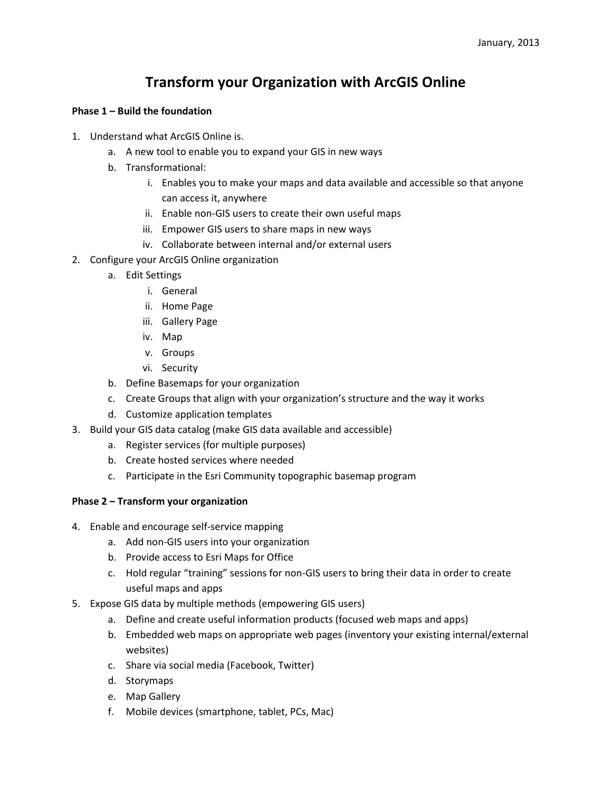# **Transform your Organization with ArcGIS Online**

### **Phase 1 – Build the foundation**

- 1. Understand what ArcGIS Online is.
	- a. A new tool to enable you to expand your GIS in new ways
	- b. Transformational:
		- i. Enables you to make your maps and data available and accessible so that anyone can access it, anywhere
		- ii. Enable non-GIS users to create their own useful maps
		- iii. Empower GIS users to share maps in new ways
		- iv. Collaborate between internal and/or external users
- 2. Configure your ArcGIS Online organization
	- a. Edit Settings
		- i. General
		- ii. Home Page
		- iii. Gallery Page
		- iv. Map
		- v. Groups
		- vi. Security
	- b. Define Basemaps for your organization
	- c. Create Groups that align with your organization's structure and the way it works
	- d. Customize application templates
- 3. Build your GIS data catalog (make GIS data available and accessible)
	- a. Register services (for multiple purposes)
	- b. Create hosted services where needed
	- c. Participate in the Esri Community topographic basemap program

#### **Phase 2 – Transform your organization**

- 4. Enable and encourage self-service mapping
	- a. Add non-GIS users into your organization
	- b. Provide access to Esri Maps for Office
	- c. Hold regular "training" sessions for non-GIS users to bring their data in order to create useful maps and apps
- 5. Expose GIS data by multiple methods (empowering GIS users)
	- a. Define and create useful information products (focused web maps and apps)
	- b. Embedded web maps on appropriate web pages (inventory your existing internal/external websites)
	- c. Share via social media (Facebook, Twitter)
	- d. Storymaps
	- e. Map Gallery
	- f. Mobile devices (smartphone, tablet, PCs, Mac)